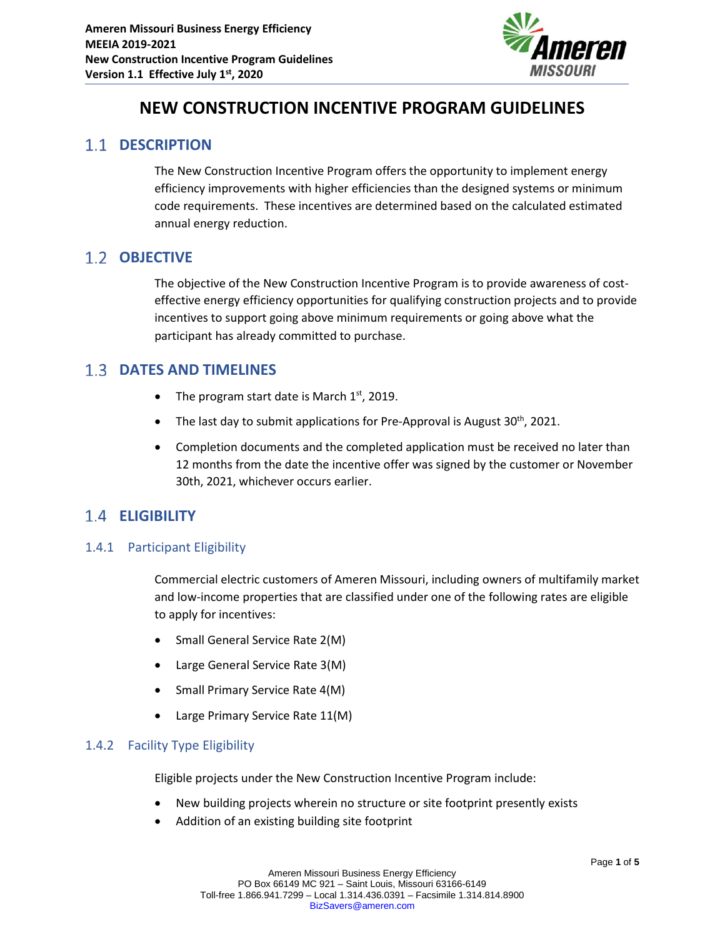

# **NEW CONSTRUCTION INCENTIVE PROGRAM GUIDELINES**

### **1.1 DESCRIPTION**

The New Construction Incentive Program offers the opportunity to implement energy efficiency improvements with higher efficiencies than the designed systems or minimum code requirements. These incentives are determined based on the calculated estimated annual energy reduction.

### 1.2 **OBJECTIVE**

The objective of the New Construction Incentive Program is to provide awareness of costeffective energy efficiency opportunities for qualifying construction projects and to provide incentives to support going above minimum requirements or going above what the participant has already committed to purchase.

### **DATES AND TIMELINES**

- The program start date is March  $1<sup>st</sup>$ , 2019.
- The last day to submit applications for Pre-Approval is August  $30<sup>th</sup>$ , 2021.
- Completion documents and the completed application must be received no later than 12 months from the date the incentive offer was signed by the customer or November 30th, 2021, whichever occurs earlier.

### **ELIGIBILITY**

### 1.4.1 Participant Eligibility

Commercial electric customers of Ameren Missouri, including owners of multifamily market and low-income properties that are classified under one of the following rates are eligible to apply for incentives:

- Small General Service Rate 2(M)
- Large General Service Rate 3(M)
- Small Primary Service Rate 4(M)
- Large Primary Service Rate 11(M)

### 1.4.2 Facility Type Eligibility

Eligible projects under the New Construction Incentive Program include:

- New building projects wherein no structure or site footprint presently exists
- Addition of an existing building site footprint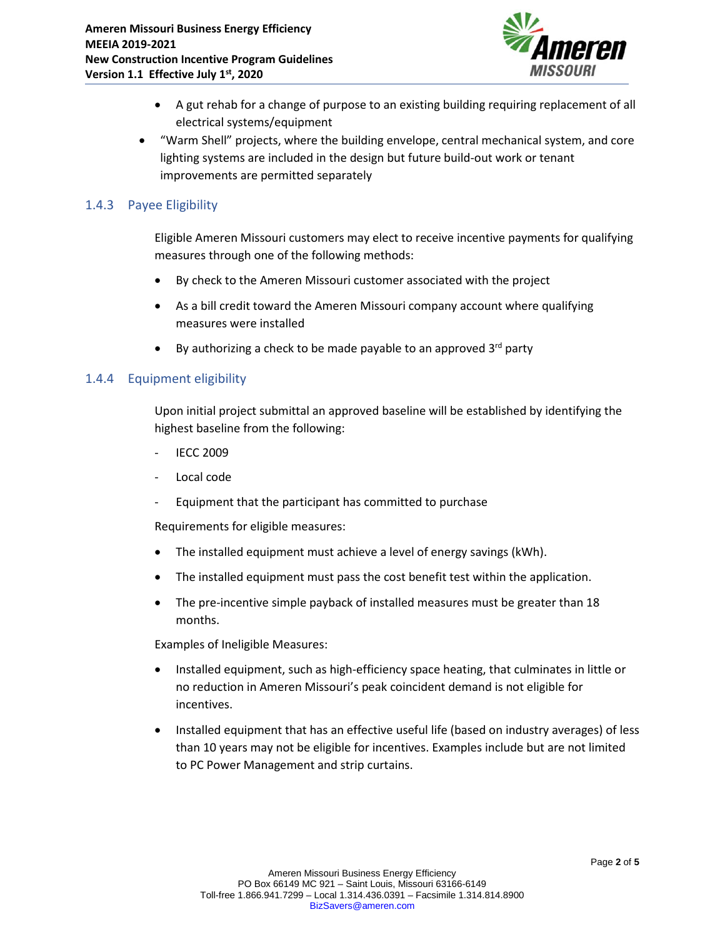

- A gut rehab for a change of purpose to an existing building requiring replacement of all electrical systems/equipment
- "Warm Shell" projects, where the building envelope, central mechanical system, and core lighting systems are included in the design but future build-out work or tenant improvements are permitted separately

### 1.4.3 Payee Eligibility

Eligible Ameren Missouri customers may elect to receive incentive payments for qualifying measures through one of the following methods:

- By check to the Ameren Missouri customer associated with the project
- As a bill credit toward the Ameren Missouri company account where qualifying measures were installed
- By authorizing a check to be made payable to an approved  $3<sup>rd</sup>$  party

#### 1.4.4 Equipment eligibility

Upon initial project submittal an approved baseline will be established by identifying the highest baseline from the following:

- **IECC 2009**
- Local code
- Equipment that the participant has committed to purchase

Requirements for eligible measures:

- The installed equipment must achieve a level of energy savings (kWh).
- The installed equipment must pass the cost benefit test within the application.
- The pre-incentive simple payback of installed measures must be greater than 18 months.

Examples of Ineligible Measures:

- Installed equipment, such as high-efficiency space heating, that culminates in little or no reduction in Ameren Missouri's peak coincident demand is not eligible for incentives.
- Installed equipment that has an effective useful life (based on industry averages) of less than 10 years may not be eligible for incentives. Examples include but are not limited to PC Power Management and strip curtains.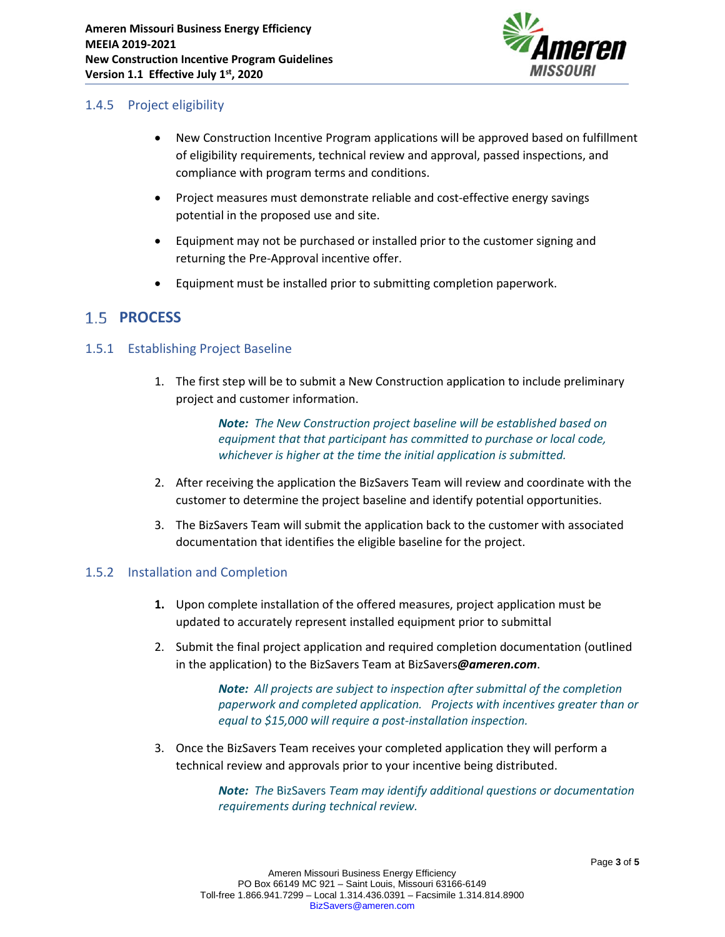

### 1.4.5 Project eligibility

- New Construction Incentive Program applications will be approved based on fulfillment of eligibility requirements, technical review and approval, passed inspections, and compliance with program terms and conditions.
- Project measures must demonstrate reliable and cost-effective energy savings potential in the proposed use and site.
- Equipment may not be purchased or installed prior to the customer signing and returning the Pre-Approval incentive offer.
- Equipment must be installed prior to submitting completion paperwork.

## 1.5 **PROCESS**

### 1.5.1 Establishing Project Baseline

1. The first step will be to submit a New Construction application to include preliminary project and customer information.

> *Note: The New Construction project baseline will be established based on equipment that that participant has committed to purchase or local code, whichever is higher at the time the initial application is submitted.*

- 2. After receiving the application the BizSavers Team will review and coordinate with the customer to determine the project baseline and identify potential opportunities.
- 3. The BizSavers Team will submit the application back to the customer with associated documentation that identifies the eligible baseline for the project.

### 1.5.2 Installation and Completion

- **1.** Upon complete installation of the offered measures, project application must be updated to accurately represent installed equipment prior to submittal
- 2. Submit the final project application and required completion documentation (outlined in the application) to the BizSavers Team at BizSavers*[@ameren.com](mailto:BIZefficiency@ameren.com)*.

*Note: All projects are subject to inspection after submittal of the completion paperwork and completed application. Projects with incentives greater than or equal to \$15,000 will require a post-installation inspection.*

3. Once the BizSavers Team receives your completed application they will perform a technical review and approvals prior to your incentive being distributed.

> *Note: The* BizSavers *Team may identify additional questions or documentation requirements during technical review.*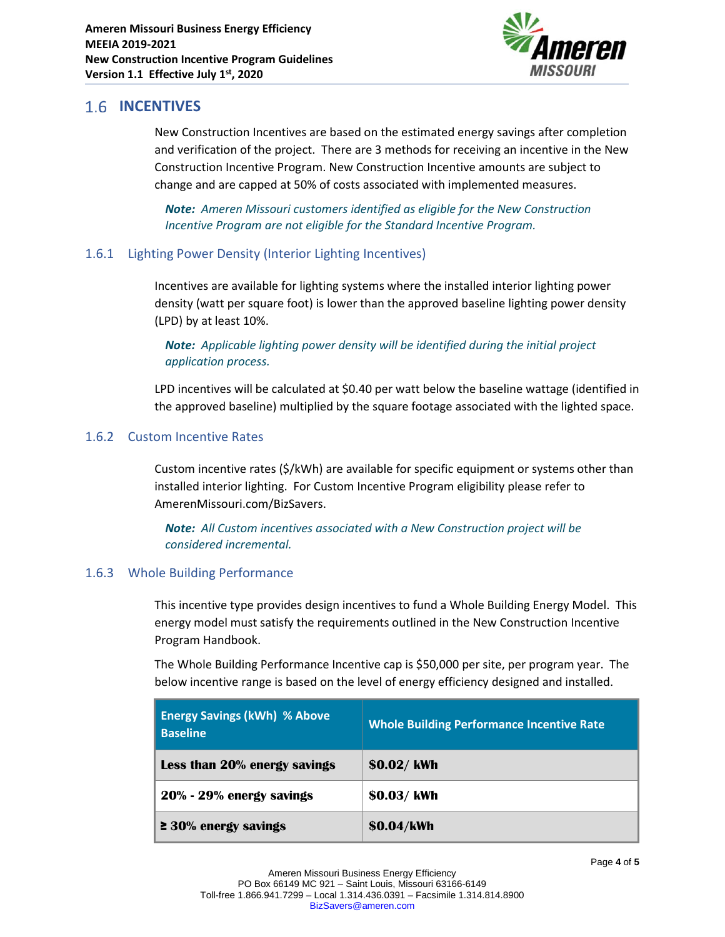

# **1.6 INCENTIVES**

New Construction Incentives are based on the estimated energy savings after completion and verification of the project. There are 3 methods for receiving an incentive in the New Construction Incentive Program. New Construction Incentive amounts are subject to change and are capped at 50% of costs associated with implemented measures.

*Note: Ameren Missouri customers identified as eligible for the New Construction Incentive Program are not eligible for the Standard Incentive Program.*

### 1.6.1 Lighting Power Density (Interior Lighting Incentives)

Incentives are available for lighting systems where the installed interior lighting power density (watt per square foot) is lower than the approved baseline lighting power density (LPD) by at least 10%.

### *Note: Applicable lighting power density will be identified during the initial project application process.*

LPD incentives will be calculated at \$0.40 per watt below the baseline wattage (identified in the approved baseline) multiplied by the square footage associated with the lighted space.

### 1.6.2 Custom Incentive Rates

Custom incentive rates (\$/kWh) are available for specific equipment or systems other than installed interior lighting. For Custom Incentive Program eligibility please refer to AmerenMissouri.com/BizSavers.

*Note: All Custom incentives associated with a New Construction project will be considered incremental.*

### 1.6.3 Whole Building Performance

This incentive type provides design incentives to fund a Whole Building Energy Model. This energy model must satisfy the requirements outlined in the New Construction Incentive Program Handbook.

The Whole Building Performance Incentive cap is \$50,000 per site, per program year. The below incentive range is based on the level of energy efficiency designed and installed.

| <b>Energy Savings (kWh) % Above</b><br><b>Baseline</b> | <b>Whole Building Performance Incentive Rate</b> |
|--------------------------------------------------------|--------------------------------------------------|
| Less than 20% energy savings                           | \$0.02/kWh                                       |
| 20% - 29% energy savings                               | \$0.03/kWh                                       |
| $\geq$ 30% energy savings                              | \$0.04/kWh                                       |